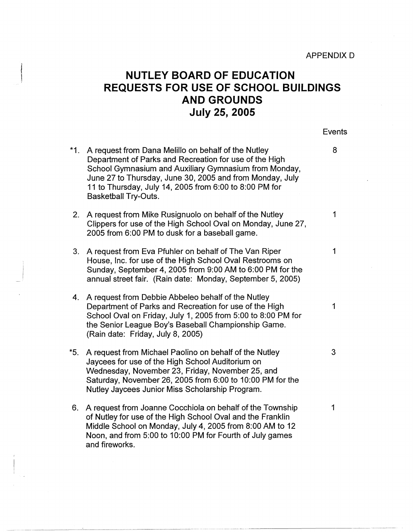## **NUTLEY BOARD OF EDUCATION REQUESTS FOR USE OF SCHOOL BUILDINGS AND GROUNDS July 25, 2005**

Events

- \*1. A request from Dana Melillo on behalf of the Nutley  $\,$  8 2. A request from Mike Rusignuolo on behalf of the Nutley 19th Contains the Mutley 3. A request from Eva Pfuhler on behalf of The Van Riper 1 Department of Parks and Recreation for use of the High School Gymnasium and Auxiliary Gymnasium from Monday, June 27 to Thursday, June 30, 2005 and from Monday, July 11 to Thursday, July 14, 2005 from 6:00 to 8:00 PM for Basketball Try-Outs. Clippers for use of the High School Oval on Monday, June 27, 2005 from 6:00 PM to dusk for a baseball game.
- House, Inc. for use of the High School Oval Restrooms on Sunday, September 4, 2005 from 9:00 AM to 6:00 PM for the annual street fair. (Rain date: Monday, September 5, 2005)
- 4. A request from Debbie Abbeleo behalf of the Nutley Department of Parks and Recreation for use of the High 1 School Oval on Friday, July 1, 2005 from 5:00 to 8:00 PM for the Senior League Boy's Baseball Championship Game. (Rain date: Friday, July 8, 2005)
- \*5. A request from Michael Paolino on behalf of the Nutley 3 Jaycees for use of the High School Auditorium on Wednesday, November 23, Friday, November 25, and Saturday, November 26, 2005 from 6:00 to 10:00 PM for the Nutley Jaycees Junior Miss Scholarship Program.
- 6. A request from Joanne Cocchiola on behalf of the Township 41 of Nutley for use of the High School Oval and the Franklin Middle School on Monday, July 4, 2005 from 8:00 AM to 12 Noon, and from 5:00 to 10:00 PM for Fourth of July games and fireworks.